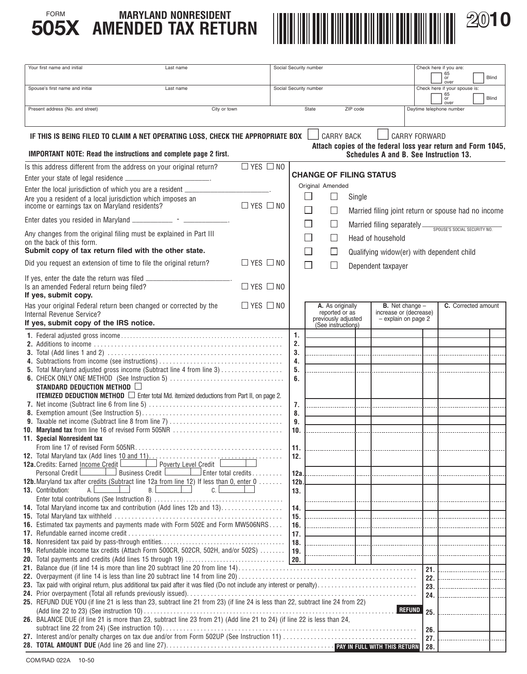

| Your first name and initial                                                                                                        | Last name                                       |                      | Social Security number |                                                                                 |                |                                           |        |                                                    |                      | Check here if you are:                                       |       |
|------------------------------------------------------------------------------------------------------------------------------------|-------------------------------------------------|----------------------|------------------------|---------------------------------------------------------------------------------|----------------|-------------------------------------------|--------|----------------------------------------------------|----------------------|--------------------------------------------------------------|-------|
|                                                                                                                                    |                                                 |                      |                        |                                                                                 |                |                                           |        |                                                    |                      | 65<br>or<br>over                                             | Blind |
| Spouse's first name and initial<br>Last name                                                                                       |                                                 |                      | Social Security number |                                                                                 |                |                                           |        | Check here if your spouse is:                      |                      |                                                              |       |
|                                                                                                                                    |                                                 |                      |                        |                                                                                 |                |                                           |        | 65<br>Blind<br>or<br>over                          |                      |                                                              |       |
| Present address (No. and street)<br>City or town                                                                                   |                                                 |                      | State                  |                                                                                 | ZIP code       |                                           |        | Daytime telephone number                           |                      |                                                              |       |
|                                                                                                                                    |                                                 |                      |                        |                                                                                 |                |                                           |        |                                                    |                      |                                                              |       |
| IF THIS IS BEING FILED TO CLAIM A NET OPERATING LOSS, CHECK THE APPROPRIATE BOX                                                    |                                                 |                      |                        |                                                                                 |                | <b>CARRY BACK</b>                         |        |                                                    | <b>CARRY FORWARD</b> |                                                              |       |
|                                                                                                                                    |                                                 |                      |                        |                                                                                 |                |                                           |        |                                                    |                      | Attach copies of the federal loss year return and Form 1045, |       |
| IMPORTANT NOTE: Read the instructions and complete page 2 first.                                                                   |                                                 |                      |                        |                                                                                 |                |                                           |        | Schedules A and B. See Instruction 13.             |                      |                                                              |       |
| Is this address different from the address on your original return?                                                                |                                                 | $\Box$ YES $\Box$ NO |                        |                                                                                 |                |                                           |        |                                                    |                      |                                                              |       |
| Enter your state of legal residence ___________________________.                                                                   |                                                 |                      |                        |                                                                                 |                |                                           |        | <b>CHANGE OF FILING STATUS</b>                     |                      |                                                              |       |
| Enter the local jurisdiction of which you are a resident ________________________                                                  |                                                 |                      |                        |                                                                                 |                | Original Amended                          |        |                                                    |                      |                                                              |       |
| Are you a resident of a local jurisdiction which imposes an income or earnings tax on Maryland residents?                          |                                                 |                      |                        |                                                                                 |                |                                           | Single |                                                    |                      |                                                              |       |
|                                                                                                                                    |                                                 | $\Box$ YES $\Box$ NO |                        | - 1<br>Married filing joint return or spouse had no income<br>$\vert \ \ \vert$ |                |                                           |        |                                                    |                      |                                                              |       |
| Enter dates you resided in Maryland ______________ - _____________.                                                                |                                                 |                      |                        |                                                                                 |                | $\Box$                                    |        | Married filing separately                          |                      |                                                              |       |
| Any changes from the original filing must be explained in Part III                                                                 |                                                 |                      |                        |                                                                                 |                |                                           |        |                                                    |                      | SPOUSE'S SOCIAL SECURITY NO.                                 |       |
| on the back of this form.                                                                                                          |                                                 |                      |                        |                                                                                 |                | $\vert \ \ \vert$                         |        | Head of household                                  |                      |                                                              |       |
| Submit copy of tax return filed with the other state.                                                                              |                                                 |                      |                        |                                                                                 | $\mathbb{R}^n$ | $\Box$                                    |        | Qualifying widow(er) with dependent child          |                      |                                                              |       |
| Did you request an extension of time to file the original return?                                                                  |                                                 | $\Box$ YES $\Box$ NO |                        |                                                                                 |                |                                           |        | Dependent taxpayer                                 |                      |                                                              |       |
| If yes, enter the date the return was filed _                                                                                      |                                                 |                      |                        |                                                                                 |                |                                           |        |                                                    |                      |                                                              |       |
| Is an amended Federal return being filed?                                                                                          |                                                 | $\Box$ YES $\Box$ NO |                        |                                                                                 |                |                                           |        |                                                    |                      |                                                              |       |
| If yes, submit copy.                                                                                                               |                                                 |                      |                        |                                                                                 |                |                                           |        |                                                    |                      |                                                              |       |
| Has your original Federal return been changed or corrected by the<br>Internal Revenue Service?                                     |                                                 | $\Box$ YES $\Box$ NO |                        |                                                                                 |                | A. As originally<br>reported or as        |        | <b>B.</b> Net change $-$<br>increase or (decrease) |                      | C. Corrected amount                                          |       |
| If yes, submit copy of the IRS notice.                                                                                             |                                                 |                      |                        |                                                                                 |                | previously adjusted<br>(See instructions) |        | - explain on page 2                                |                      |                                                              |       |
|                                                                                                                                    |                                                 |                      |                        | 1.                                                                              |                |                                           |        |                                                    |                      |                                                              |       |
|                                                                                                                                    |                                                 |                      |                        | 2.                                                                              |                |                                           |        |                                                    |                      |                                                              |       |
|                                                                                                                                    |                                                 |                      |                        | 3.                                                                              |                |                                           |        |                                                    |                      |                                                              |       |
| <b>5.</b> Total Maryland adjusted gross income (Subtract line 4 from line 3)                                                       |                                                 |                      |                        | 4.<br>5.                                                                        |                |                                           |        |                                                    |                      |                                                              |       |
|                                                                                                                                    |                                                 |                      |                        | 6.                                                                              |                |                                           |        |                                                    |                      |                                                              |       |
| STANDARD DEDUCTION METHOD                                                                                                          |                                                 |                      |                        |                                                                                 |                |                                           |        |                                                    |                      |                                                              |       |
| <b>ITEMIZED DEDUCTION METHOD</b> $\Box$ Enter total Md. itemized deductions from Part II, on page 2.                               |                                                 |                      |                        |                                                                                 |                |                                           |        |                                                    |                      |                                                              |       |
|                                                                                                                                    |                                                 |                      |                        | 7.<br>8.                                                                        |                |                                           |        |                                                    |                      |                                                              |       |
|                                                                                                                                    |                                                 |                      |                        | 9.                                                                              |                |                                           |        |                                                    |                      |                                                              |       |
| <b>10. Maryland tax</b> from line 16 of revised Form 505NR                                                                         |                                                 |                      |                        | 10.                                                                             |                |                                           |        |                                                    |                      |                                                              |       |
| 11. Special Nonresident tax<br>From line 17 of revised Form 505NR                                                                  |                                                 |                      |                        |                                                                                 |                |                                           |        |                                                    |                      |                                                              |       |
|                                                                                                                                    |                                                 |                      |                        | 11.<br>12.                                                                      |                |                                           |        |                                                    |                      |                                                              |       |
| <b>12a.</b> Credits: Earned Income Credit L                                                                                        | $\Box$ Poverty Level Credit                     |                      |                        |                                                                                 |                |                                           |        |                                                    |                      |                                                              |       |
| Personal Credit L                                                                                                                  | Business Credit L<br>$\Box$ Enter total credits |                      |                        | 12a                                                                             |                |                                           |        |                                                    |                      |                                                              |       |
| <b>12b.</b> Maryland tax after credits (Subtract line 12a from line 12) If less than 0, enter 0<br>A.l<br><b>13. Contribution:</b> | <b>B.</b><br>c.l                                |                      |                        | 12 <sub>b</sub><br>13.                                                          |                |                                           |        |                                                    |                      |                                                              |       |
|                                                                                                                                    |                                                 |                      |                        |                                                                                 |                |                                           |        |                                                    |                      |                                                              |       |
| <b>14.</b> Total Maryland income tax and contribution (Add lines 12b and 13)                                                       |                                                 |                      |                        | 14.                                                                             |                |                                           |        |                                                    |                      |                                                              |       |
|                                                                                                                                    |                                                 |                      |                        | 15.                                                                             |                |                                           |        |                                                    |                      |                                                              |       |
| <b>16.</b> Estimated tax payments and payments made with Form 502E and Form MW506NRS                                               |                                                 |                      |                        | 16.<br>17.                                                                      |                |                                           |        |                                                    |                      |                                                              |       |
|                                                                                                                                    |                                                 |                      |                        | 18.                                                                             |                | .                                         | . 1    |                                                    |                      |                                                              |       |
| 19. Refundable income tax credits (Attach Form 500CR, 502CR, 502H, and/or 502S)                                                    |                                                 |                      |                        | 19.                                                                             |                |                                           | .      |                                                    |                      |                                                              |       |
|                                                                                                                                    |                                                 |                      |                        |                                                                                 |                |                                           |        |                                                    |                      |                                                              |       |
|                                                                                                                                    |                                                 |                      |                        |                                                                                 |                |                                           |        |                                                    | 21.<br>22.           |                                                              |       |
|                                                                                                                                    |                                                 |                      |                        |                                                                                 |                |                                           |        |                                                    | 23.                  |                                                              |       |
|                                                                                                                                    |                                                 |                      |                        |                                                                                 |                |                                           |        |                                                    | 24.                  |                                                              |       |
| 25. REFUND DUE YOU (if line 21 is less than 23, subtract line 21 from 23) (if line 24 is less than 22, subtract line 24 from 22)   |                                                 |                      |                        |                                                                                 |                |                                           |        | <b>REFUND</b>                                      |                      |                                                              |       |
| 26. BALANCE DUE (if line 21 is more than 23, subtract line 23 from 21) (Add line 21 to 24) (if line 22 is less than 24,            |                                                 |                      |                        |                                                                                 |                |                                           |        |                                                    | 25.                  |                                                              |       |
|                                                                                                                                    |                                                 |                      |                        |                                                                                 |                |                                           |        |                                                    | 26.                  |                                                              |       |
|                                                                                                                                    |                                                 |                      |                        |                                                                                 |                |                                           |        |                                                    | 27.                  |                                                              |       |
|                                                                                                                                    |                                                 |                      |                        |                                                                                 |                |                                           |        |                                                    | 28.                  |                                                              |       |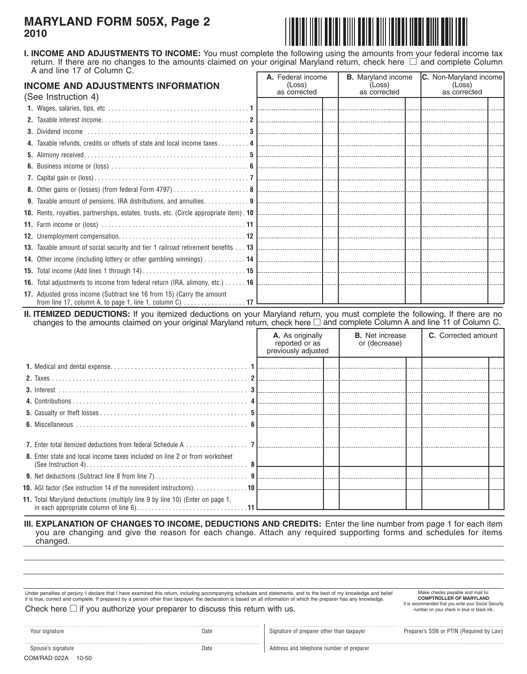## **MARYLAND FORM 505X, Page 2 2010**



 return. If there are no changes to the amounts claimed on your original Maryland return, check here  $\Box$  and complete Column **I. INCOME AND ADJUSTMENTS TO INCOME:** You must complete the following using the amounts from your federal income tax A and line 17 of Column C.

| <b>INCOME AND ADJUSTMENTS INFORMATION</b><br>(See Instruction 4)       | A. Federal income<br>(Loss)<br>as corrected | (Loss)<br>as corrected | <b>B.</b> Maryland income <b>C.</b> Non-Maryland income<br>(Loss)<br>as corrected |  |
|------------------------------------------------------------------------|---------------------------------------------|------------------------|-----------------------------------------------------------------------------------|--|
|                                                                        |                                             |                        |                                                                                   |  |
|                                                                        |                                             |                        |                                                                                   |  |
|                                                                        |                                             |                        |                                                                                   |  |
|                                                                        |                                             |                        |                                                                                   |  |
|                                                                        |                                             |                        |                                                                                   |  |
|                                                                        |                                             |                        |                                                                                   |  |
|                                                                        |                                             |                        |                                                                                   |  |
|                                                                        |                                             |                        |                                                                                   |  |
|                                                                        |                                             |                        |                                                                                   |  |
|                                                                        |                                             |                        |                                                                                   |  |
|                                                                        |                                             |                        |                                                                                   |  |
|                                                                        |                                             |                        |                                                                                   |  |
|                                                                        |                                             |                        |                                                                                   |  |
|                                                                        |                                             |                        |                                                                                   |  |
|                                                                        |                                             |                        |                                                                                   |  |
|                                                                        |                                             |                        |                                                                                   |  |
| 17. Adjusted gross income (Subtract line 16 from 15) (Carry the amount |                                             |                        |                                                                                   |  |

**II. ITEMIZED DEDUCTIONS:** If you itemized deductions on your Maryland return, you must complete the following. If there are no changes to the amounts claimed on your original Maryland return, check here  $\Box$  and complete Column A and line 11 of Column C.

|                                                                                       | A. As originally<br>reported or as<br>previously adjusted | <b>B.</b> Net increase<br>or (decrease) | <b>C.</b> Corrected amount |  |
|---------------------------------------------------------------------------------------|-----------------------------------------------------------|-----------------------------------------|----------------------------|--|
|                                                                                       |                                                           |                                         |                            |  |
|                                                                                       |                                                           |                                         |                            |  |
|                                                                                       |                                                           |                                         |                            |  |
|                                                                                       |                                                           |                                         |                            |  |
|                                                                                       |                                                           |                                         |                            |  |
|                                                                                       |                                                           |                                         |                            |  |
|                                                                                       |                                                           |                                         |                            |  |
|                                                                                       |                                                           |                                         |                            |  |
| 8. Enter state and local income taxes included on line 2 or from worksheet            |                                                           |                                         |                            |  |
|                                                                                       |                                                           |                                         |                            |  |
| <b>10.</b> AGI factor (See instruction 14 of the nonresident instructions). 10 $\Box$ |                                                           |                                         |                            |  |
| 11. Total Maryland deductions (multiply line 9 by line 10) (Enter on page 1,          |                                                           |                                         |                            |  |

### **III. EXPLANATION OF CHANGES TO INCOME, DEDUCTIONS AND CREDITS:** Enter the line number from page 1 for each item you are changing and give the reason for each change. Attach any required supporting forms and schedules for items changed.

Under penalties of perjury, I declare that I have examined this return, including accompanying schedules and statements, and to the best of my knowledge and belief it is true, correct and complete. If prepared by a person other than taxpayer, the declaration is based on all information of which the preparer has any knowledge. Check here  $\Box$  if you authorize your preparer to discuss this return with us.

# Make checks payable and mail to:<br> **COMPTROLLER OF MARYLAND**<br>
It is recommended that you write your Social Security

COM/RAD 022A 10-50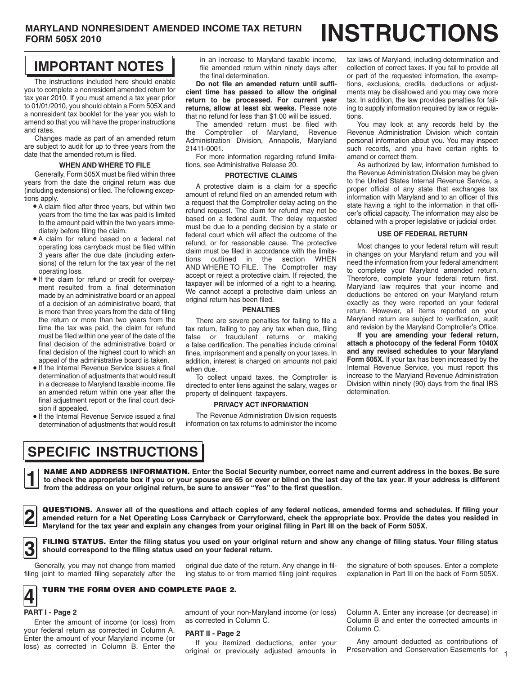## **IMPORTANT NOTES**

 $\int$ The instructions included here should enable you to complete a nonresident amended return for tax year 2010. If you must amend a tax year prior to 01/01/2010, you should obtain a Form 505X and a nonresident tax booklet for the year you wish to amend so that you will have the proper instructions and rates.

Changes made as part of an amended return are subject to audit for up to three years from the date that the amended return is filed.

### **WHEN AND WHERE TO FILE**

Generally, Form 505X must be filed within three years from the date the original return was due (including extensions) or filed. The following exceptions apply.

- • A claim filed after three years, but within two years from the time the tax was paid is limited to the amount paid within the two years immediately before filing the claim.
- • A claim for refund based on a federal net operating loss carryback must be filed within 3 years after the due date (including extensions) of the return for the tax year of the net operating loss.
- • If the claim for refund or credit for overpayment resulted from a final determination made by an administrative board or an appeal of a decision of an administrative board, that is more than three years from the date of filing the return or more than two years from the time the tax was paid, the claim for refund must be filed within one year of the date of the final decision of the administrative board or final decision of the highest court to which an appeal of the administrative board is taken.
- • If the Internal Revenue Service issues a final determination of adjustments that would result in a decrease to Maryland taxable income, file an amended return within one year after the final adjustment report or the final court decision if appealed.
- • If the Internal Revenue Service issued a final determination of adjustments that would result

in an increase to Maryland taxable income, file amended return within ninety days after the final determination.

**Do not file an amended return until sufficient time has passed to allow the original return to be processed. For current year returns, allow at least six weeks.** Please note that no refund for less than \$1.00 will be issued.

The amended return must be filed with the Comptroller of Maryland, Revenue Administration Division, Annapolis, Maryland 21411-0001.

For more information regarding refund limitations, see Administrative Release 20.

### **PROTECTIVE CLAIMS**

 AND WHERE TO FILE. The Comptroller may A protective claim is a claim for a specific amount of refund filed on an amended return with a request that the Comptroller delay acting on the refund request. The claim for refund may not be based on a federal audit. The delay requested must be due to a pending decision by a state or federal court which will affect the outcome of the refund, or for reasonable cause. The protective claim must be filed in accordance with the limitations outlined in the section WHEN accept or reject a protective claim. If rejected, the taxpayer will be informed of a right to a hearing. We cannot accept a protective claim unless an original return has been filed.

### **PENALTIES**

There are severe penalties for failing to file a tax return, failing to pay any tax when due, filing false or fraudulent returns or making a false certification. The penalties include criminal fines, imprisonment and a penalty on your taxes. In addition, interest is charged on amounts not paid when due.

 To collect unpaid taxes, the Comptroller is directed to enter liens against the salary, wages or property of delinquent taxpayers.

### **PRIVACY ACT INFORMATION**

 The Revenue Administration Division requests information on tax returns to administer the income

tax laws of Maryland, including determination and collection of correct taxes. If you fail to provide all or part of the requested information, the exemptions, exclusions, credits, deductions or adjustments may be disallowed and you may owe more tax. In addition, the law provides penalties for failing to supply information required by law or regula-

tions. You may look at any records held by the Revenue Administration Division which contain personal information about you. You may inspect such records, and you have certain rights to amend or correct them.

As authorized by law, information furnished to the Revenue Administration Division may be given to the United States Internal Revenue Service, a proper official of any state that exchanges tax information with Maryland and to an officer of this state having a right to the information in that officer's official capacity. The information may also be obtained with a proper legislative or judicial order.

### **USE OF FEDERAL RETURN**

Most changes to your federal return will result in changes on your Maryland return and you will need the information from your federal amendment to complete your Maryland amended return. Therefore, complete your federal return first. Maryland law requires that your income and deductions be entered on your Maryland return exactly as they were reported on your federal return. However, all items reported on your Maryland return are subject to verification, audit and revision by the Maryland Comptroller's Office.

**If you are amending your federal return, attach a photocopy of the federal Form 1040X and any revised schedules to your Maryland Form 505X.** If your tax has been increased by the Internal Revenue Service, you must report this increase to the Maryland Revenue Administration Division within ninety (90) days from the final IRS determination.

**SPECIFIC INSTRUCTIONS** 

from the address on your original return, be sure to answer "Yes" to the first question. **NAME AND ADDRESS INFORMATION.** Enter the Social Security number, correct name and current address in the boxes. Be sure<br>to check the appropriate box if you or your spouse are 65 or over or blind on the last day of the tax

□ **Maryland for the tax year and explain any changes from your original filing in Part III on the back of Form 505X.**  QUESTIONS. Answer all of the questions and attach copies of any federal notices, amended forms and schedules. If filing your<br>amended return for a Net Operating Loss Carryback or Carryforward, check the appropriate box. Pro

**3 FILING STATUS.** Enter the filing status you used on your original return and show any change of filing status. Your filing status <br> **3** should correspond to the filing status used on your federal return. **should correspond to the filing status used on your federal return.** 

Generally,

 filing joint to married filing separately after the ing status to or from married filing joint requires explanation in Part III on the back of Form 505X. original due date of the return. Any change in fil- the signature of both spouses. Enter a complete

### **4** TURN THE FORM OVER AND COMPLETE PAGE 2.

## □ **PART I - Page 2**

Enter the amount of income (or loss) from your federal return as corrected in Column A. Enter the amount of your Maryland income (or loss) as corrected in Column B. Enter the amount of your non-Maryland income (or loss) as corrected in Column C.

### **PART II - Page 2**

 original or previously adjusted amounts in If you itemized deductions, enter your

Column A. Enter any increase (or decrease) in Column B and enter the corrected amounts in Column C.

Any amount deducted as contributions of Preservation and Conservation Easements for 1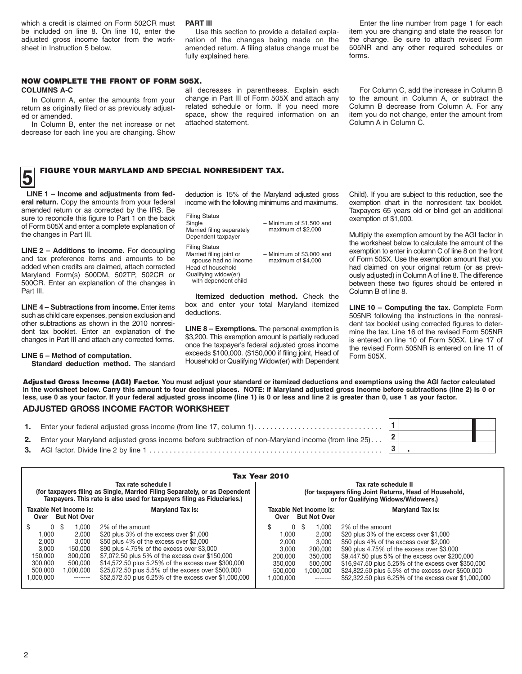adjusted gross income factor from the work- nation of the changes being made on the the change. Be sure to attach revised Form which a credit is claimed on Form 502CR must **PART III Enter the line number from page 1 for each** each verter the line number from page 1 for each be included on line 8. On line 10, enter the Use this section to provide a detailed expla- item you are changing and state the reason for adjusted gross income factor from the work- nation of the changes being made on the

sheet in Instruction 5 below. **amended return. A filing status change must be** 505NR and any other required schedules or forms. fully explained here.

### NOW COMPLETE THE FRONT OF FORM 505X.

return as originally filed or as previously adjusted or amended.

In Column B, enter the net increase or net decrease for each line you are changing. Show

**COLUMNS A-C all decreases in parentheses.** Explain each In Column A, enter the amounts from your change in Part III of Form 505X and attach any<br>urn as originally filed or as previously adjust- related schedule or form. If you need more space, show the required information on an attached statement

For Column C, add the increase in Column B to the amount in Column A, or subtract the Column B decrease from Column A. For any item you do not change, enter the amount from Column A in Column C.

# **5** FIGURE YOUR MARYLAND AND SPECIAL NONRESIDENT TAX.

 amended return or as corrected by the IRS. Be sure to reconcile this figure to Part 1 on the back □ **LINE 1 – Income and adjustments from federal return.** Copy the amounts from your federal of Form 505X and enter a complete explanation of the changes in Part III.

 **LINE 2 – Additions to income.** For decoupling and tax preference items and amounts to be added when credits are claimed, attach corrected 500CR. Enter an explanation of the changes in Maryland Form(s) 500DM, 502TP, 502CR or Part III.

 such as child care expenses, pension exclusion and dent tax booklet. Enter an explanation of the **LINE 4 – Subtractions from income.** Enter items other subtractions as shown in the 2010 nonresichanges in Part III and attach any corrected forms.

 **Standard deduction method.** The standard **LINE 6 – Method of computation.** 

 deduction is 15% of the Maryland adjusted gross income with the following minimums and maximums.

Filing Status Single Married filing separately Dependent taxpayer

Filing Status Married filing joint or – Minimum of \$1,500 and maximum of \$2,000

spouse had no income – Minimum of \$3,000 and maximum of \$4,000

Qualifying widow(er) with dependent child

Head of household

 **Itemized deduction method.** Check the box and enter your total Maryland itemized deductions.

 **LINE 8 – Exemptions.** The personal exemption is \$3,200. This exemption amount is partially reduced once the taxpayer's federal adjusted gross income exceeds \$100,000. (\$150,000 if filing joint, Head of Household or Qualifying Widow(er) with Dependent

 Child). If you are subject to this reduction, see the exemption chart in the nonresident tax booklet. Taxpayers 65 years old or blind get an additional exemption of \$1,000.

 Multiply the exemption amount by the AGI factor in the worksheet below to calculate the amount of the of Form 505X. Use the exemption amount that you ously adjusted) in ColumnAof line 8. The difference exemption to enter in column C of line 8 on the front had claimed on your original return (or as previbetween these two figures should be entered in Column B of line 8.

**LINE 10 – Computing the tax.** Complete Form 505NR following the instructions in the nonresident tax booklet using corrected figures to determine the tax. Line 16 of the revised Form 505NR is entered on line 10 of Form 505X. Line 17 of the revised Form 505NR is entered on line 11 of Form 505X.

 **in the worksheet below. Carry this amount to four decimal places. NOTE: If Maryland adjusted gross income before subtractions (line 2) is 0 or**  Adjusted Gross Income (AGI) Factor. **You must adjust your standard or itemized deductions and exemptions using the AGI factor calculated less, use 0 as your factor. If your federal adjusted gross income (line 1) is 0 or less and line 2 is greater than 0, use 1 as your factor.** 

### **ADJUSTED GROSS INCOME FACTOR WORKSHEET**

| 1. | Enter your federal adjusted gross income (from line 17, column 1)                                                 |  |  |
|----|-------------------------------------------------------------------------------------------------------------------|--|--|
|    | 2. Enter your Maryland adjusted gross income before subtraction of non-Maryland income (from line 25) $\boxed{2}$ |  |  |
|    |                                                                                                                   |  |  |

| Tax Year 2010                                                                                                                                                                                                                                                                                                                                                                                                                                                                                                                                                  |                                                                                                                                                                                                                                                                                                                                                                                                                                                                                                                                                           |  |  |  |  |  |  |  |  |
|----------------------------------------------------------------------------------------------------------------------------------------------------------------------------------------------------------------------------------------------------------------------------------------------------------------------------------------------------------------------------------------------------------------------------------------------------------------------------------------------------------------------------------------------------------------|-----------------------------------------------------------------------------------------------------------------------------------------------------------------------------------------------------------------------------------------------------------------------------------------------------------------------------------------------------------------------------------------------------------------------------------------------------------------------------------------------------------------------------------------------------------|--|--|--|--|--|--|--|--|
| Tax rate schedule I<br>(for taxpayers filing as Single, Married Filing Separately, or as Dependent                                                                                                                                                                                                                                                                                                                                                                                                                                                             | Tax rate schedule II<br>(for taxpayers filing Joint Returns, Head of Household,                                                                                                                                                                                                                                                                                                                                                                                                                                                                           |  |  |  |  |  |  |  |  |
| Taxpayers. This rate is also used for taxpayers filing as Fiduciaries.)                                                                                                                                                                                                                                                                                                                                                                                                                                                                                        | or for Qualifying Widows/Widowers.)                                                                                                                                                                                                                                                                                                                                                                                                                                                                                                                       |  |  |  |  |  |  |  |  |
| Taxable Net Income is:<br><b>Maryland Tax is:</b><br><b>But Not Over</b><br>Over                                                                                                                                                                                                                                                                                                                                                                                                                                                                               | <b>Maryland Tax is:</b><br>Taxable Net Income is:<br><b>But Not Over</b><br>Over                                                                                                                                                                                                                                                                                                                                                                                                                                                                          |  |  |  |  |  |  |  |  |
| - \$<br>2% of the amount<br>$\Omega$<br>.000<br>\$20 plus 3% of the excess over \$1,000<br>1.000<br>2.000<br>\$50 plus 4% of the excess over \$2,000<br>3.000<br>2,000<br>\$90 plus 4.75% of the excess over \$3,000<br>3.000<br>150,000<br>\$7,072.50 plus 5% of the excess over \$150,000<br>150.000<br>300,000<br>\$14,572.50 plus 5.25% of the excess over \$300,000<br>300,000<br>500,000<br>\$25,072.50 plus 5.5% of the excess over \$500,000<br>500,000<br>1.000.000<br>\$52,572.50 plus 6.25% of the excess over \$1,000,000<br>1.000.000<br>-------- | 2% of the amount<br>- \$<br>1.000<br>.000<br>\$20 plus 3% of the excess over \$1,000<br>2.000<br>\$50 plus 4% of the excess over \$2,000<br>2.000<br>3,000<br>\$90 plus 4.75% of the excess over \$3,000<br>3.000<br>200,000<br>\$9,447.50 plus 5% of the excess over \$200,000<br>200,000<br>350,000<br>\$16,947.50 plus 5.25% of the excess over \$350,000<br>350,000<br>500,000<br>\$24,822.50 plus 5.5% of the excess over \$500,000<br>1.000.000<br>500,000<br>\$52,322.50 plus 6.25% of the excess over \$1,000,000<br>1.000.000<br>$- - - - - - -$ |  |  |  |  |  |  |  |  |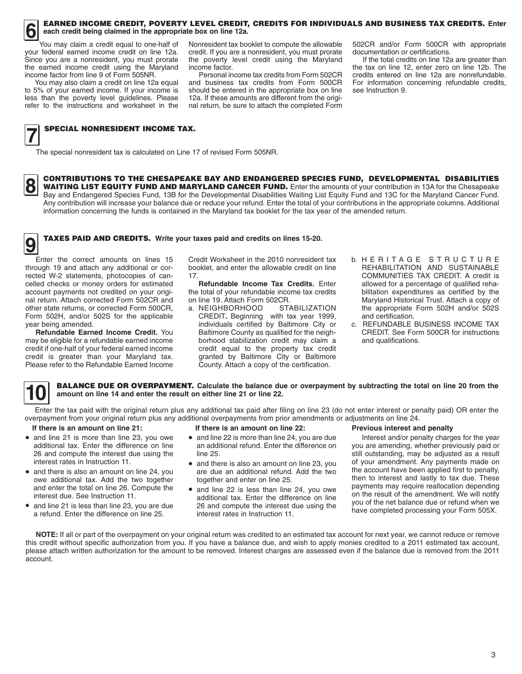

## **6** EARNED INCOME CREDIT, POVERTY LEVEL CREDIT, CREDITS FOR INDIVIDUALS AND BUSINESS TAX CREDITS. Enter each credit being claimed in the appropriate box on line 12a. **each credit being claimed in the appropriate box on line 12a.**

You may claim a credit equal to one-half of your federal earned income credit on line 12a. You may claim a credit equal to one-half of Since you are a nonresident, you must prorate the earned income credit using the Maryland income factor from line 9 of Form 505NR.

 to 5% of your earned income. If your income is less than the poverty level guidelines. Please refer to the instructions and worksheet in the You may also claim a credit on line 12a equal

 Nonresident tax booklet to compute the allowable credit. If you are a nonresident, you must prorate the poverty level credit using the Maryland income factor.

 should be entered in the appropriate box on line Personal income tax credits from Form 502CR and business tax credits from Form 500CR 12a. If these amounts are different from the original return, be sure to attach the completed Form

502CR and/or Form 500CR with appropriate documentation or certifications.

If the total credits on line 12a are greater than the tax on line 12, enter zero on line 12b. The credits entered on line 12a are nonrefundable. For information concerning refundable credits, see Instruction 9.

## **SPECIAL NONRESIDENT INCOME TAX.**

□ The special nonresident tax is calculated on Line 17 of revised Form 505NR.

**CONTRIBUTIONS TO THE CHESAPEAKE BAY AND ENDANGERED SPECIES FUND, DEVELOPMENTAL DISABILITIES** □ Bay and Endangered Species Fund, 13B for the Developmental Disabilities Waiting List Equity Fund and 13C for the Maryland Cancer Fund.<br>Any contribution will increase your balance due or reduce your refund. Enter the tot **8 CONTRIBUTIONS TO THE CHESAPEAKE BAY AND ENDANGERED SPECIES FUND, DEVELOPMENTAL DISABILITIES WAITING LIST EQUITY FUND AND MARYLAND CANCER FUND. Enter the amounts of your contribution in 13A for the Chesapeake Ray and For** Bay and Endangered Species Fund, 13B for the Developmental Disabilities Waiting List Equity Fund and 13C for the Maryland Cancer Fund. information concerning the funds is contained in the Maryland tax booklet for the tax year of the amended return.

# **9** TAXES PAID AND CREDITS. Write your taxes paid and credits on lines 15-20.

□ Enter the correct amounts on lines 15 through 19 and attach any additional or corrected W-2 statements, photocopies of cancelled checks or money orders for estimated account payments not credited on your original return. Attach corrected Form 502CR and other state returns, or corrected Form 500CR, Form 502H, and/or 502S for the applicable year being amended.

 Please refer to the Refundable Earned Income **Refundable Earned Income Credit.** You may be eligible for a refundable earned income credit if one-half of your federal earned income credit is greater than your Maryland tax.

Credit Worksheet in the 2010 nonresident tax booklet, and enter the allowable credit on line 17.

**Refundable Income Tax Credits.** Enter the total of your refundable income tax credits on line 19. Attach Form 502CR.<br>a. NEIGHBORHOOD STABILIZATION

- credit equal to the property tax credit a. NEIGHBORHOOD CREDIT**.** Beginning with tax year 1999, individuals certified by Baltimore City or Baltimore County as qualified for the neighborhood stabilization credit may claim a granted by Baltimore City or Baltimore County. Attach a copy of the certification.
- b. H E R I T A G E S T R U C T U R E REHABILITATION AND SUSTAINABLE COMMUNITIES TAX CREDIT. A credit is allowed for a percentage of qualified rehabilitation expenditures as certified by the Maryland Historical Trust. Attach a copy of the appropriate Form 502H and/or 502S and certification.
- c. REFUNDABLE BUSINESS INCOME TAX CREDIT. See Form 500CR for instructions and qualifications.



**10 BALANCE DUE OR OVERPAYMENT.** Calculate the balance due or overpayment by subtracting the total on line 20 from the amount on line 14 and enter the result on either line 21 or line 22. **amount on line 14 and enter the result on either line 21 or line 22.** 

ENTERT AND A SERVIEW THE THE TAND AND ENTERT IN THE POSITION OF THE PAID OF THE PAID OF THE PAID OF THE PAID OF THE PAID OF THE PAID OF THE PAID OF THE PAID OF THE PAID OF THE PAID OF THE PAID OF THE PAID OF THE PAID OF TH overpayment from your original return plus any additional overpayments from prior amendments or adjustments on line 24.

### **If there is an amount on line 21:**

- • and line 21 is more than line 23, you owe additional tax. Enter the difference on line 26 and compute the interest due using the interest rates in Instruction 11.
- • and there is also an amount on line 24, you owe additional tax. Add the two together and enter the total on line 26. Compute the interest due. See Instruction 11.
- • and line 21 is less than line 23, you are due a refund. Enter the difference on line 25.

### **If there is an amount on line 22:**

- • and line 22 is more than line 24, you are due an additional refund. Enter the difference on line 25.
- • and there is also an amount on line 23, you are due an additional refund. Add the two together and enter on line 25.
- • and line 22 is less than line 24, you owe additional tax. Enter the difference on line 26 and compute the interest due using the interest rates in Instruction 11.

### **Previous interest and penalty**

Interest and/or penalty charges for the year you are amending, whether previously paid or still outstanding, may be adjusted as a result of your amendment. Any payments made on the account have been applied first to penalty, then to interest and lastly to tax due. These payments may require reallocation depending on the result of the amendment. We will notify you of the net balance due or refund when we have completed processing your Form 505X.

NOTE: If all or part of the overpayment on your original return was credited to an estimated tax account for next year, we cannot reduce or remove this credit without specific authorization from you. If you have a balance due, and wish to apply monies credited to a 2011 estimated tax account, please attach written authorization for the amount to be removed. Interest charges are assessed even if the balance due is removed from the 2011 account.